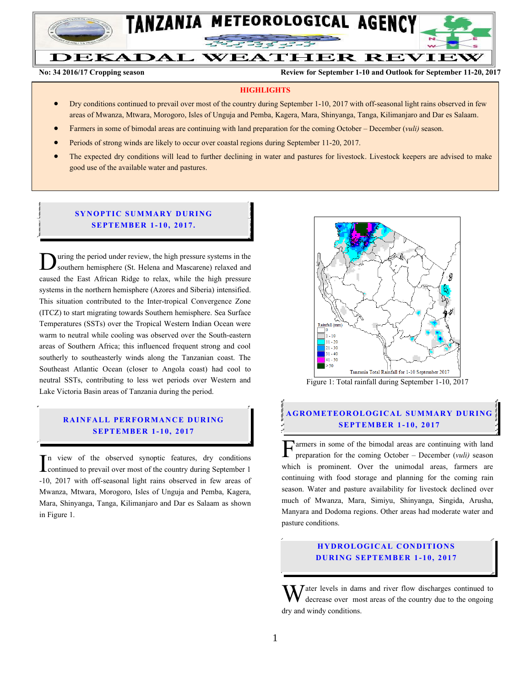

**No. 34 2016/2017 Agricultural production year Review for August 21-31, 2017 and Outlook for September 1-10, 2017**

**No: 34 2016/17 Cropping season Review for September 1-10 and Outlook for September 11-20, 2017**

#### **HIGHLIGHTS**

- Dry conditions continued to prevail over most of the country during September 1-10, 2017 with off-seasonal light rains observed in few areas of Mwanza, Mtwara, Morogoro, Isles of Unguja and Pemba, Kagera, Mara, Shinyanga, Tanga, Kilimanjaro and Dar es Salaam.
- Farmers in some of bimodal areas are continuing with land preparation for the coming October December (*vuli)* season.
- Periods of strong winds are likely to occur over coastal regions during September 11-20, 2017.
- The expected dry conditions will lead to further declining in water and pastures for livestock. Livestock keepers are advised to make good use of the available water and pastures.

#### **SYNOPTIC SUMMARY DURING SEPT EMBER 1- 10, 2017.**

uring the period under review, the high pressure systems in the southern hemisphere (St. Helena and Mascarene) relaxed and caused the East African Ridge to relax, while the high pressure systems in the northern hemisphere (Azores and Siberia) intensified. This situation contributed to the Inter-tropical Convergence Zone (ITCZ) to start migrating towards Southern hemisphere. Sea Surface Temperatures (SSTs) over the Tropical Western Indian Ocean were warm to neutral while cooling was observed over the South-eastern areas of Southern Africa; this influenced frequent strong and cool southerly to southeasterly winds along the Tanzanian coast. The Southeast Atlantic Ocean (closer to Angola coast) had cool to neutral SSTs, contributing to less wet periods over Western and Lake Victoria Basin areas of Tanzania during the period. D

# **RAINFALL PERFORMANCE DURING SEPT EMBER 1- 10, 2017**

n view of the observed synoptic features, dry conditions  $\prod_{\text{continued}}$  to the observed synoptic features, dry conditions<br>
continued to prevail over most of the country during September 1 -10, 2017 with off-seasonal light rains observed in few areas of Mwanza, Mtwara, Morogoro, Isles of Unguja and Pemba, Kagera, Mara, Shinyanga, Tanga, Kilimanjaro and Dar es Salaam as shown in Figure 1.



Figure 1: Total rainfall during September 1-10, 2017

# **A G RO METEO R O LOG ICA L SU MMA RY D UR ING SEPT EMBER 1 - 10, 2017**

 $\Gamma$ armers in some of the bimodal areas are continuing with land preparation for the coming October – December (vuli) season preparation for the coming October – December (*vuli)* season which is prominent. Over the unimodal areas, farmers are continuing with food storage and planning for the coming rain season. Water and pasture availability for livestock declined over much of Mwanza, Mara, Simiyu, Shinyanga, Singida, Arusha, Manyara and Dodoma regions. Other areas had moderate water and pasture conditions.

## **HYDROLOGICAL CONDITIONS D UR ING SEPTEMBER 1 - 10, 2017**

 $\bar{J}$  ater levels in dams and river flow discharges continued to decrease over most areas of the country due to the ongoing dry and windy conditions. W